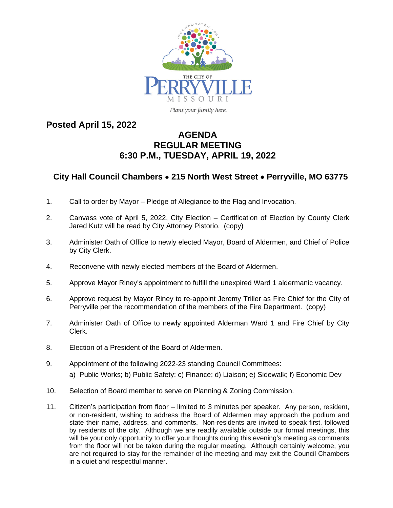

Plant your family here.

# **Posted April 15, 2022**

# **AGENDA REGULAR MEETING 6:30 P.M., TUESDAY, APRIL 19, 2022**

# **City Hall Council Chambers** · **215 North West Street** · **Perryville, MO 63775**

- 1. Call to order by Mayor Pledge of Allegiance to the Flag and Invocation.
- 2. Canvass vote of April 5, 2022, City Election Certification of Election by County Clerk Jared Kutz will be read by City Attorney Pistorio. (copy)
- 3. Administer Oath of Office to newly elected Mayor, Board of Aldermen, and Chief of Police by City Clerk.
- 4. Reconvene with newly elected members of the Board of Aldermen.
- 5. Approve Mayor Riney's appointment to fulfill the unexpired Ward 1 aldermanic vacancy.
- 6. Approve request by Mayor Riney to re-appoint Jeremy Triller as Fire Chief for the City of Perryville per the recommendation of the members of the Fire Department. (copy)
- 7. Administer Oath of Office to newly appointed Alderman Ward 1 and Fire Chief by City Clerk.
- 8. Election of a President of the Board of Aldermen.
- 9. Appointment of the following 2022-23 standing Council Committees: a) Public Works; b) Public Safety; c) Finance; d) Liaison; e) Sidewalk; f) Economic Dev
- 10. Selection of Board member to serve on Planning & Zoning Commission.
- 11. Citizen's participation from floor limited to 3 minutes per speaker. Any person, resident, or non-resident, wishing to address the Board of Aldermen may approach the podium and state their name, address, and comments. Non-residents are invited to speak first, followed by residents of the city. Although we are readily available outside our formal meetings, this will be your only opportunity to offer your thoughts during this evening's meeting as comments from the floor will not be taken during the regular meeting. Although certainly welcome, you are not required to stay for the remainder of the meeting and may exit the Council Chambers in a quiet and respectful manner.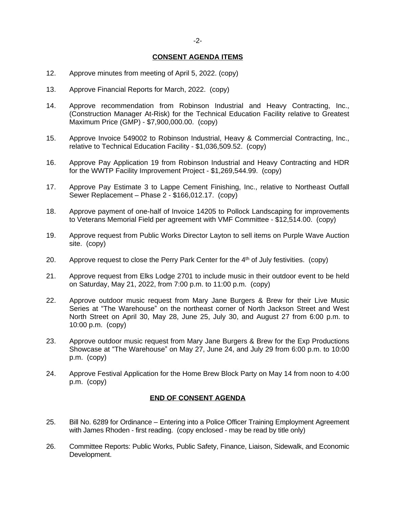#### **CONSENT AGENDA ITEMS**

- 12. Approve minutes from meeting of April 5, 2022. (copy)
- 13. Approve Financial Reports for March, 2022. (copy)
- 14. Approve recommendation from Robinson Industrial and Heavy Contracting, Inc., (Construction Manager At-Risk) for the Technical Education Facility relative to Greatest Maximum Price (GMP) - \$7,900,000.00. (copy)
- 15. Approve Invoice 549002 to Robinson Industrial, Heavy & Commercial Contracting, Inc., relative to Technical Education Facility - \$1,036,509.52. (copy)
- 16. Approve Pay Application 19 from Robinson Industrial and Heavy Contracting and HDR for the WWTP Facility Improvement Project - \$1,269,544.99. (copy)
- 17. Approve Pay Estimate 3 to Lappe Cement Finishing, Inc., relative to Northeast Outfall Sewer Replacement – Phase 2 - \$166,012.17. (copy)
- 18. Approve payment of one-half of Invoice 14205 to Pollock Landscaping for improvements to Veterans Memorial Field per agreement with VMF Committee - \$12,514.00. (copy)
- 19. Approve request from Public Works Director Layton to sell items on Purple Wave Auction site. (copy)
- 20. Approve request to close the Perry Park Center for the  $4<sup>th</sup>$  of July festivities. (copy)
- 21. Approve request from Elks Lodge 2701 to include music in their outdoor event to be held on Saturday, May 21, 2022, from 7:00 p.m. to 11:00 p.m. (copy)
- 22. Approve outdoor music request from Mary Jane Burgers & Brew for their Live Music Series at "The Warehouse" on the northeast corner of North Jackson Street and West North Street on April 30, May 28, June 25, July 30, and August 27 from 6:00 p.m. to 10:00 p.m. (copy)
- 23. Approve outdoor music request from Mary Jane Burgers & Brew for the Exp Productions Showcase at "The Warehouse" on May 27, June 24, and July 29 from 6:00 p.m. to 10:00 p.m. (copy)
- 24. Approve Festival Application for the Home Brew Block Party on May 14 from noon to 4:00 p.m. (copy)

### **END OF CONSENT AGENDA**

- 25. Bill No. 6289 for Ordinance Entering into a Police Officer Training Employment Agreement with James Rhoden - first reading. (copy enclosed - may be read by title only)
- 26. Committee Reports: Public Works, Public Safety, Finance, Liaison, Sidewalk, and Economic Development.